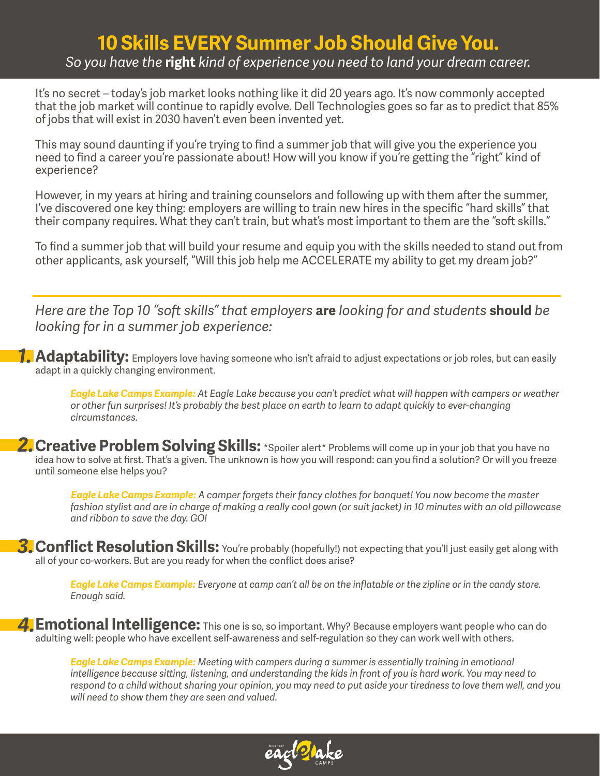# **10 Skills EVERY Summer Job Should Give You.** *So you have the* **right** *kind of experience you need to land your dream career.*

It's no secret – today's job market looks nothing like it did 20 years ago. It's now commonly accepted that the job market will continue to rapidly evolve. Dell Technologies goes so far as to predict that 85% of jobs that will exist in 2030 haven't even been invented yet.

This may sound daunting if you're trying to find a summer job that will give you the experience you need to find a career you're passionate about! How will you know if you're getting the "right" kind of experience?

However, in my years at hiring and training counselors and following up with them after the summer, I've discovered one key thing: employers are willing to train new hires in the specific "hard skills" that their company requires. What they can't train, but what's most important to them are the "soft skills."

To find a summer job that will build your resume and equip you with the skills needed to stand out from other applicants, ask yourself, "Will this job help me ACCELERATE my ability to get my dream job?"

*Here are the Top 10 "soft skills" that employers* **are** *looking for and students* **should** *be looking for in a summer job experience:*

*1.* **Adaptability:** Employers love having someone who isn't afraid to adjust expectations or job roles, but can easily adapt in a quickly changing environment.

*Eagle Lake Camps Example: At Eagle Lake because you can't predict what will happen with campers or weather or other fun surprises! It's probably the best place on earth to learn to adapt quickly to ever-changing circumstances.*

2. Creative Problem Solving Skills: \*Spoiler alert\* Problems will come up in your job that you have no idea how to solve at first. That's a given. The unknown is how you will respond: can you find a solution? Or will you freeze until someone else helps you?

 *Eagle Lake Camps Example: A camper forgets their fancy clothes for banquet! You now become the master fashion stylist and are in charge of making a really cool gown (or suit jacket) in 10 minutes with an old pillowcase and ribbon to save the day. GO!* 

3. Conflict Resolution Skills: You're probably (hopefully!) not expecting that you'll just easily get along with all of your co-workers. But are you ready for when the conflict does arise?

*Eagle Lake Camps Example: Everyone at camp can't all be on the inflatable or the zipline or in the candy store. Enough said.*

4. Emotional Intelligence: This one is so, so important. Why? Because employers want people who can do adulting well: people who have excellent self-awareness and self-regulation so they can work well with others.

*Eagle Lake Camps Example: Meeting with campers during a summer is essentially training in emotional intelligence because sitting, listening, and understanding the kids in front of you is hard work. You may need to*  respond to a child without sharing your opinion, you may need to put aside your tiredness to love them well, and you *will need to show them they are seen and valued.* 

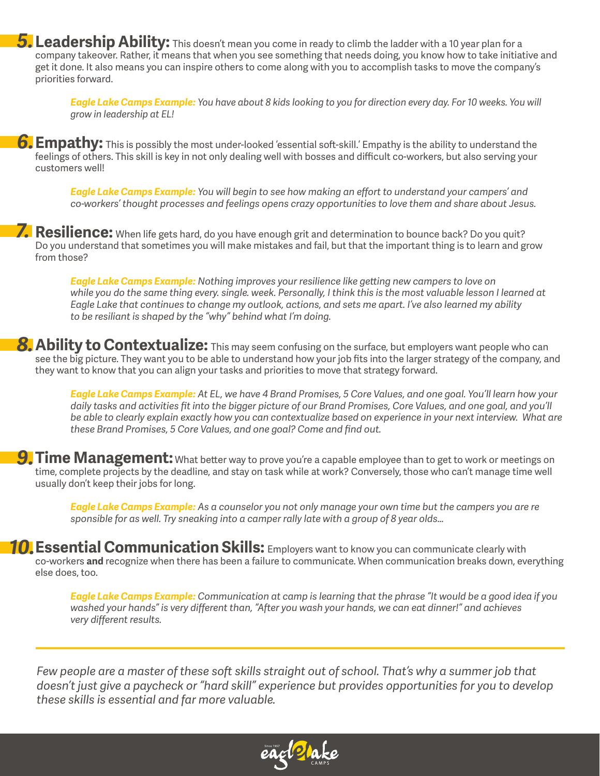*5.* **Leadership Ability:** This doesn't mean you come in ready to climb the ladder with a 10 year plan for a company takeover. Rather, it means that when you see something that needs doing, you know how to take initiative and get it done. It also means you can inspire others to come along with you to accomplish tasks to move the company's priorities forward.

*Eagle Lake Camps Example: You have about 8 kids looking to you for direction every day. For 10 weeks. You will grow in leadership at EL!* 

*6.* **Empathy:** This is possibly the most under-looked 'essential soft-skill.' Empathy is the ability to understand the feelings of others. This skill is key in not only dealing well with bosses and difficult co-workers, but also serving your customers well!

*Eagle Lake Camps Example: You will begin to see how making an effort to understand your campers' and co-workers' thought processes and feelings opens crazy opportunities to love them and share about Jesus.*

*7.* **Resilience:** When life gets hard, do you have enough grit and determination to bounce back? Do you quit? Do you understand that sometimes you will make mistakes and fail, but that the important thing is to learn and grow from those?

*Eagle Lake Camps Example: Nothing improves your resilience like getting new campers to love on*  while you do the same thing every, single, week. Personally, I think this is the most valuable lesson I learned at *Eagle Lake that continues to change my outlook, actions, and sets me apart. I've also learned my ability to be resiliant is shaped by the "why" behind what I'm doing.* 

**8.** Ability to Contextualize: This may seem confusing on the surface, but employers want people who can see the big picture. They want you to be able to understand how your job fits into the larger strategy of the company, and they want to know that you can align your tasks and priorities to move that strategy forward.

*Eagle Lake Camps Example: At EL, we have 4 Brand Promises, 5 Core Values, and one goal. You'll learn how your daily tasks and activities fit into the bigger picture of our Brand Promises, Core Values, and one goal, and you'll be able to clearly explain exactly how you can contextualize based on experience in your next interview. What are these Brand Promises, 5 Core Values, and one goal? Come and find out.* 

**9. Time Management:** What better way to prove you're a capable employee than to get to work or meetings on time, complete projects by the deadline, and stay on task while at work? Conversely, those who can't manage time well usually don't keep their jobs for long.

*Eagle Lake Camps Example: As a counselor you not only manage your own time but the campers you are re sponsible for as well. Try sneaking into a camper rally late with a group of 8 year olds…*

**10.** Essential Communication Skills: Employers want to know you can communicate clearly with co-workers **and** recognize when there has been a failure to communicate. When communication breaks down, everything else does, too.

> *Eagle Lake Camps Example: Communication at camp is learning that the phrase "It would be a good idea if you washed your hands" is very different than, "After you wash your hands, we can eat dinner!" and achieves very different results.*

*Few people are a master of these soft skills straight out of school. That's why a summer job that doesn't just give a paycheck or "hard skill" experience but provides opportunities for you to develop these skills is essential and far more valuable.*